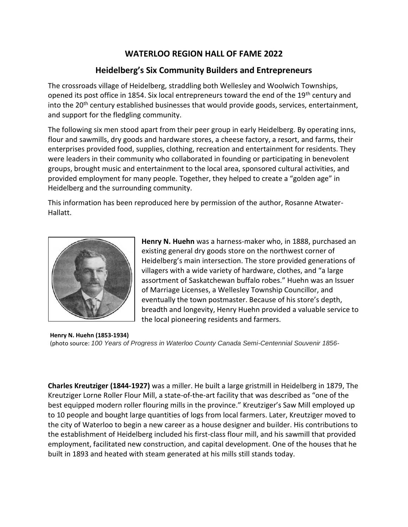## **WATERLOO REGION HALL OF FAME 2022**

## **Heidelberg's Six Community Builders and Entrepreneurs**

The crossroads village of Heidelberg, straddling both Wellesley and Woolwich Townships, opened its post office in 1854. Six local entrepreneurs toward the end of the 19<sup>th</sup> century and into the 20<sup>th</sup> century established businesses that would provide goods, services, entertainment, and support for the fledgling community.

The following six men stood apart from their peer group in early Heidelberg. By operating inns, flour and sawmills, dry goods and hardware stores, a cheese factory, a resort, and farms, their enterprises provided food, supplies, clothing, recreation and entertainment for residents. They were leaders in their community who collaborated in founding or participating in benevolent groups, brought music and entertainment to the local area, sponsored cultural activities, and provided employment for many people. Together, they helped to create a "golden age" in Heidelberg and the surrounding community.

This information has been reproduced here by permission of the author, Rosanne Atwater-Hallatt.



**Henry N. Huehn** was a harness-maker who, in 1888, purchased an existing general dry goods store on the northwest corner of Heidelberg's main intersection. The store provided generations of villagers with a wide variety of hardware, clothes, and "a large assortment of Saskatchewan buffalo robes." Huehn was an Issuer of Marriage Licenses, a Wellesley Township Councillor, and eventually the town postmaster. Because of his store's depth, breadth and longevity, Henry Huehn provided a valuable service to the local pioneering residents and farmers.

**Henry N. Huehn (1853-1934)** (photo source: *100 Years of Progress in Waterloo County Canada Semi-Centennial Souvenir 1856-*

**Charles Kreutziger (1844-1927)** was a miller. He built a large gristmill in Heidelberg in 1879, The Kreutziger Lorne Roller Flour Mill, a state-of-the-art facility that was described as "one of the best equipped modern roller flouring mills in the province." Kreutziger's Saw Mill employed up to 10 people and bought large quantities of logs from local farmers. Later, Kreutziger moved to the city of Waterloo to begin a new career as a house designer and builder. His contributions to the establishment of Heidelberg included his first-class flour mill, and his sawmill that provided employment, facilitated new construction, and capital development. One of the houses that he built in 1893 and heated with steam generated at his mills still stands today.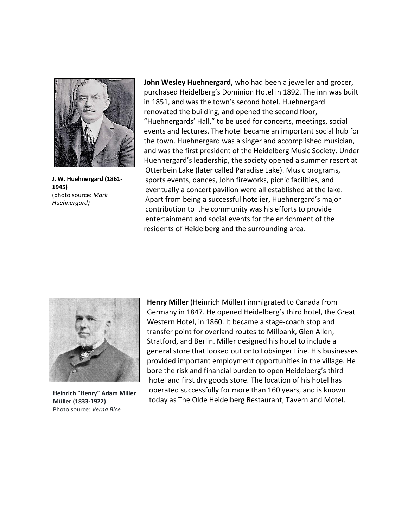

**J. W. Huehnergard (1861- 1945)** (photo source: *Mark Huehnergard)*

**John Wesley Huehnergard,** who had been a jeweller and grocer, purchased Heidelberg's Dominion Hotel in 1892. The inn was built in 1851, and was the town's second hotel. Huehnergard renovated the building, and opened the second floor, "Huehnergards' Hall," to be used for concerts, meetings, social events and lectures. The hotel became an important social hub for the town. Huehnergard was a singer and accomplished musician, and was the first president of the Heidelberg Music Society. Under Huehnergard's leadership, the society opened a summer resort at Otterbein Lake (later called Paradise Lake). Music programs, sports events, dances, John fireworks, picnic facilities, and eventually a concert pavilion were all established at the lake. Apart from being a successful hotelier, Huehnergard's major contribution to the community was his efforts to provide entertainment and social events for the enrichment of the residents of Heidelberg and the surrounding area.



**Heinrich "Henry" Adam Miller Müller (1833-1922)** Photo source: *Verna Bice*

**Henry Miller** (Heinrich Müller) immigrated to Canada from Germany in 1847. He opened Heidelberg's third hotel, the Great Western Hotel, in 1860. It became a stage-coach stop and transfer point for overland routes to Millbank, Glen Allen, Stratford, and Berlin. Miller designed his hotel to include a general store that looked out onto Lobsinger Line. His businesses provided important employment opportunities in the village. He bore the risk and financial burden to open Heidelberg's third hotel and first dry goods store. The location of his hotel has operated successfully for more than 160 years, and is known today as The Olde Heidelberg Restaurant, Tavern and Motel.